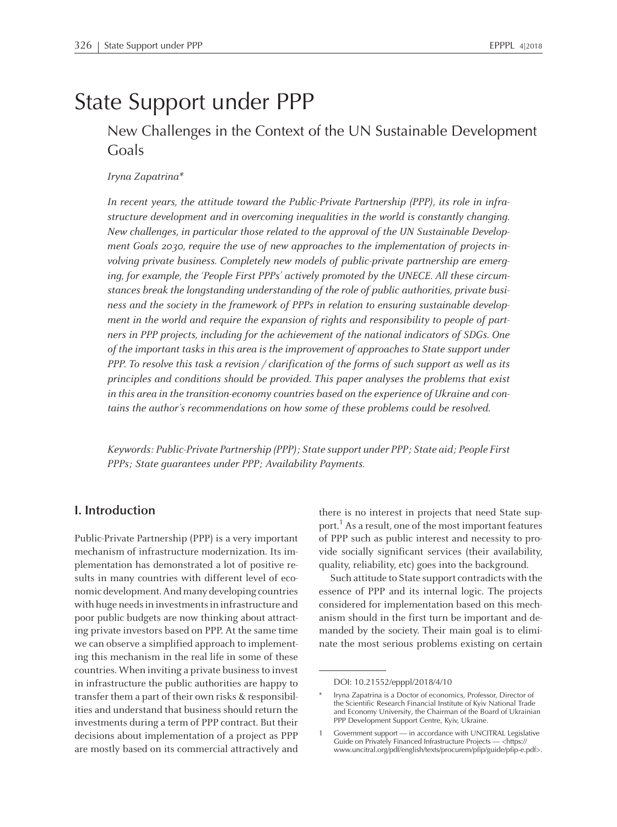# State Support under PPP

## New Challenges in the Context of the UN Sustainable Development Goals

#### Iryna Zapatrina\*

In recent years, the attitude toward the Public-Private Partnership (PPP), its role in infrastructure development and in overcoming inequalities in the world is constantly changing. New challenges, in particular those related to the approval of the UN Sustainable Development Goals 2030, require the use of new approaches to the implementation of projects involving private business. Completely new models of public-private partnership are emerging, for example, the 'People First PPPs' actively promoted by the UNECE. All these circumstances break the longstanding understanding of the role of public authorities, private business and the society in the framework of PPPs in relation to ensuring sustainable development in the world and require the expansion of rights and responsibility to people of partners in PPP projects, including for the achievement of the national indicators of SDGs. One of the important tasks in this area is the improvement of approaches to State suppor<sup>t</sup> under PPP. To resolve this task <sup>a</sup> revision / clarification of the forms of such suppor<sup>t</sup> as well as its principles and conditions should be provided. This paper analyses the problems that exist in this area in the transition-economy countries based on the experience of Ukraine and contains the author's recommendations on how some of these problems could be resolved.

Keywords: Public-Private Partnership (PPP); State suppor<sup>t</sup> under PPP; State aid; People First PPPs; State guarantees under PPP; Availability Payments.

#### **I. Introduction**

Public-Private Partnership (PPP) is <sup>a</sup> very important mechanism of infrastructure modernization. Its implementation has demonstrated <sup>a</sup> lot of positive results in many countries with different level of economic development.Andmany developing countries with huge needs in investments in infrastructure and poor public budgets are now thinking about attracting private investors based on PPP. At the same time we can observe <sup>a</sup> simplified approach to implementing this mechanism in the real life in some of these countries. When inviting <sup>a</sup> private businessto invest in infrastructure the public authorities are happy to transfer thema par<sup>t</sup> of their own risks & responsibilities and understand that business should return the investments during <sup>a</sup> termof PPP contract. But their decisions about implementation of <sup>a</sup> project as PPP are mostly based on its commercial attractively and there is no interest in projects that need State support.<sup>1</sup> As a result, one of the most important features of PPP such as public interest and necessity to provide socially significant services (their availability, quality, reliability, etc) goes into the background.

Such attitude to State suppor<sup>t</sup> contradicts with the essence of PPP and its internal logic. The projects considered for implementation based on this mechanism should in the first turn be important and demanded by the society. Their main goal is to eliminate the most serious problems existing on certain

DOI: 10.21552/epppl/2018/4/10

<sup>\*</sup> Iryna Zapatrina is <sup>a</sup> Doctor of economics, Professor, Director of the Scientific Research Financial Institute of Kyiv National Trade and Economy University, the Chairman of the Board of Ukrainian PPP Development Support Centre, Kyiv, Ukraine.

<sup>1</sup> Government suppor<sup>t</sup> — in accordance with UNCITRAL Legislative Guide on Privately Financed Infrastructure Projects — <https:// www.uncitral.org/pdf/english/texts/procurem/pfip/guide/pfip-e.pdf>.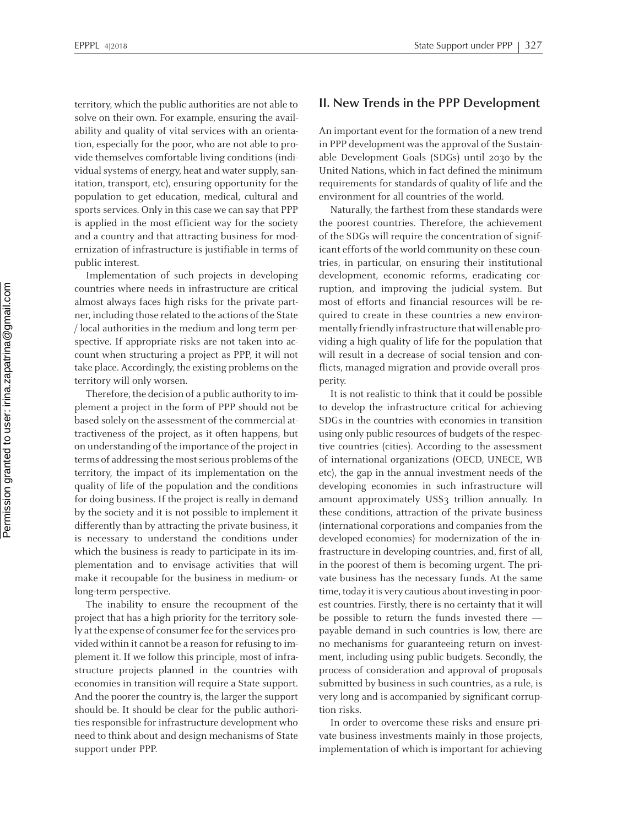territory, which the public authorities are not able to solve on their own. For example, ensuring the availability and quality of vital services with an orientation, especially for the poor, who are not able to provide themselves comfortable living conditions (individual systems of energy, heat and water supply, sanitation, transport, etc), ensuring opportunity for the population to ge<sup>t</sup> education, medical, cultural and sports services. Only in this case we can say that PPP is applied in the most efficient way for the society and <sup>a</sup> country and that attracting business for modernization of infrastructure is justifiable in terms of public interest.

Implementation of such projects in developing countries where needs in infrastructure are critical almost always faces high risks for the private partner, including those related to the actions of the State / local authorities in the medium and long term perspective. If appropriate risks are not taken into account when structuring <sup>a</sup> project as PPP, it will not take place. Accordingly, the existing problems on the territory will only worsen.

Therefore, the decision of <sup>a</sup> public authority to implement <sup>a</sup> project in the form of PPP should not be based solely on the assessment of the commercial attractiveness of the project, as it often happens, but on understanding of the importance of the project in terms of addressing the most serious problems of the territory, the impact of its implementation on the quality of life of the population and the conditions for doing business. If the project is really in demand by the society and it is not possible to implement it differently than by attracting the private business, it is necessary to understand the conditions under which the business is ready to participate in its implementation and to envisage activities that will make it recoupable for the business in medium- or long-term perspective.

The inability to ensure the recoupmen<sup>t</sup> of the project that has <sup>a</sup> high priority for the territory solely at the expense of consumer fee for the services provided within it cannot be <sup>a</sup> reason for refusing to implement it. If we follow this principle, most of infrastructure projects planned in the countries with economies in transition will require <sup>a</sup> State support. And the poorer the country is, the larger the suppor<sup>t</sup> should be. It should be clear for the public authorities responsible for infrastructure development who need to think about and design mechanisms of State suppor<sup>t</sup> under PPP.

#### **II. New Trends in the PPP Development**

An important event for the formation of <sup>a</sup> new trend in PPP development was the approval of the Sustainable Development Goals (SDGs) until 2030 by the United Nations, which in fact defined the minimum requirements for standards of quality of life and the environment for all countries of the world.

Naturally, the farthest from these standards were the poores<sup>t</sup> countries. Therefore, the achievement of the SDGs will require the concentration of significant efforts of the world community on these countries, in particular, on ensuring their institutional development, economic reforms, eradicating corruption, and improving the judicial system. But most of efforts and financial resources will be required to create in these countries <sup>a</sup> new environmentally friendly infrastructure thatwill enable providing <sup>a</sup> high quality of life for the population that will result in <sup>a</sup> decrease of social tension and conflicts, managed migration and provide overall prosperity.

It is not realistic to think that it could be possible to develop the infrastructure critical for achieving SDGs in the countries with economies in transition using only public resources of budgets of the respective countries (cities). According to the assessment of international organizations (OECD, UNECE, WB etc), the gap in the annual investment needs of the developing economies in such infrastructure will amount approximately US\$3 trillion annually. In these conditions, attraction of the private business (international corporations and companies from the developed economies) for modernization of the infrastructure in developing countries, and, first of all, in the poores<sup>t</sup> of them is becoming urgent. The private business has the necessary funds. At the same time, today it is very cautious about investing in poorest countries. Firstly, there is no certainty that it will be possible to return the funds invested there payable demand in such countries is low, there are no mechanisms for guaranteeing return on investment, including using public budgets. Secondly, the process of consideration and approval of proposals submitted by business in such countries, as <sup>a</sup> rule, is very long and is accompanied by significant corruption risks.

In order to overcome these risks and ensure private business investments mainly in those projects, implementation of which is important for achieving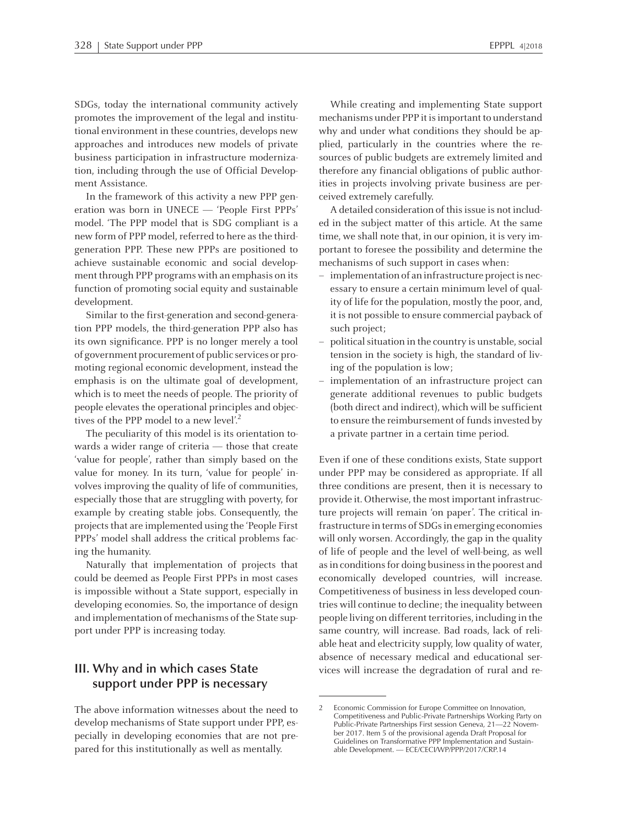SDGs, today the international community actively promotes the improvement of the legal and institutional environment in these countries, develops new approaches and introduces new models of private business participation in infrastructure modernization, including through the use of Official Development Assistance.

In the framework of this activity <sup>a</sup> new PPP generation was born in UNECE — 'People First PPPs' model. 'The PPP model that is SDG compliant is <sup>a</sup> new form of PPP model, referred to here as the thirdgeneration PPP. These new PPPs are positioned to achieve sustainable economic and social development through PPP programs with an emphasis on its function of promoting social equity and sustainable development.

Similar to the first-generation and second-generation PPP models, the third-generation PPP also has its own significance. PPP is no longer merely <sup>a</sup> tool of government procurement of public services or promoting regional economic development, instead the emphasis is on the ultimate goal of development, which is to meet the needs of people. The priority of people elevates the operational principles and objectives of the PPP model to a new level'.<sup>2</sup>

The peculiarity of this model is its orientation towards <sup>a</sup> wider range of criteria — those that create 'value for people', rather than simply based on the value for money. In its turn, 'value for people' involves improving the quality of life of communities, especially those that are struggling with poverty, for example by creating stable jobs. Consequently, the projects that are implemented using the 'People First PPPs' model shall address the critical problems facing the humanity.

Naturally that implementation of projects that could be deemed as People First PPPs in most cases is impossible without <sup>a</sup> State support, especially in developing economies. So, the importance of design and implementation of mechanisms of the State suppor<sup>t</sup> under PPP is increasing today.

#### **III. Why and in which cases State suppor<sup>t</sup> under PPP is necessary**

The above information witnesses about the need to develop mechanisms of State suppor<sup>t</sup> under PPP, especially in developing economies that are not prepared for this institutionally as well as mentally.

While creating and implementing State suppor<sup>t</sup> mechanisms under PPP it isimportant to understand why and under what conditions they should be applied, particularly in the countries where the resources of public budgets are extremely limited and therefore any financial obligations of public authorities in projects involving private business are perceived extremely carefully.

A detailed consideration of thisissue is not included in the subject matter of this article. At the same time, we shall note that, in our opinion, it is very important to foresee the possibility and determine the mechanisms of such suppor<sup>t</sup> in cases when:

- implementation of an infrastructure project is necessary to ensure <sup>a</sup> certain minimum level of quality of life for the population, mostly the poor, and, it is not possible to ensure commercial payback of such project;
- political situation in the country is unstable, social tension in the society is high, the standard of living of the population is low;
- implementation of an infrastructure project can generate additional revenues to public budgets (both direct and indirect), which will be sufficient to ensure the reimbursement of fundsinvested by <sup>a</sup> private partner in <sup>a</sup> certain time period.

Even if one of these conditions exists, State suppor<sup>t</sup> under PPP may be considered as appropriate. If all three conditions are present, then it is necessary to provide it. Otherwise, the most important infrastructure projects will remain 'on paper'. The critical infrastructure in terms of SDGs in emerging economies will only worsen. Accordingly, the gap in the quality of life of people and the level of well-being, as well as in conditions for doing business in the poorest and economically developed countries, will increase. Competitiveness of business in less developed countries will continue to decline; the inequality between people living on different territories, including in the same country, will increase. Bad roads, lack of reliable heat and electricity supply, low quality of water, absence of necessary medical and educational services will increase the degradation of rural and re-

<sup>2</sup> Economic Commission for Europe Committee on Innovation, Competitiveness and Public-Private Partnerships Working Party on Public-Private Partnerships First session Geneva, 21—22 November 2017. Item <sup>5</sup> of the provisional agenda Draft Proposal for Guidelines on Transformative PPP Implementation and Sustainable Development. — ECE/CECI/WP/PPP/2017/CRP.14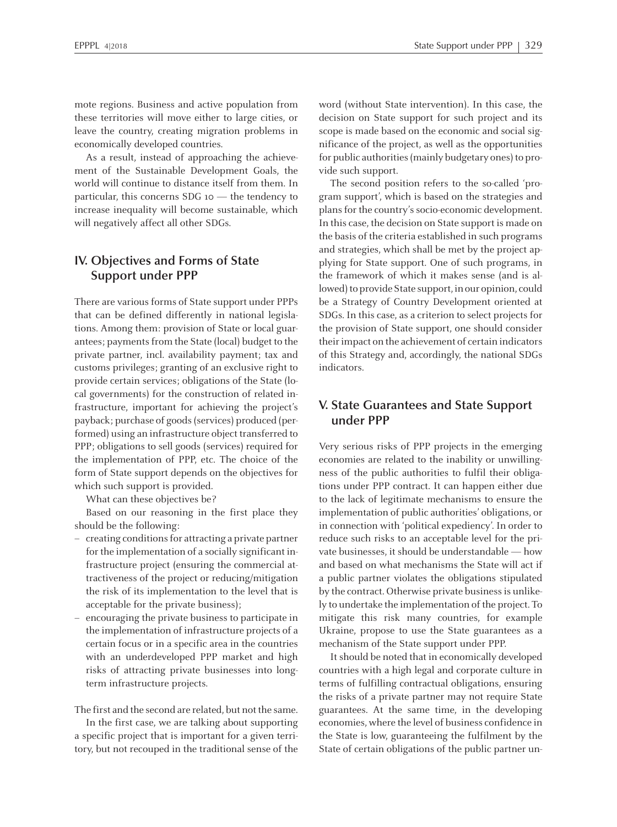mote regions. Business and active population from these territories will move either to large cities, or leave the country, creating migration problems in economically developed countries.

As <sup>a</sup> result, instead of approaching the achievement of the Sustainable Development Goals, the world will continue to distance itself from them. In particular, this concerns SDG <sup>10</sup> — the tendency to increase inequality will become sustainable, which will negatively affect all other SDGs.

#### **IV. Objectives and Forms of State Support under PPP**

There are various forms of State suppor<sup>t</sup> under PPPs that can be defined differently in national legislations. Among them: provision of State or local guarantees; payments from the State (local) budget to the private partner, incl. availability payment; tax and customs privileges; granting of an exclusive right to provide certain services; obligations of the State (local governments) for the construction of related infrastructure, important for achieving the project's payback; purchase of goods(services) produced (performed) using an infrastructure object transferred to PPP; obligations to sell goods (services) required for the implementation of PPP, etc. The choice of the form of State suppor<sup>t</sup> depends on the objectives for which such suppor<sup>t</sup> is provided.

What can these objectives be?

Based on our reasoning in the first place they should be the following:

- creating conditionsfor attracting <sup>a</sup> private partner for the implementation of a socially significant infrastructure project (ensuring the commercial attractiveness of the project or reducing/mitigation the risk of its implementation to the level that is acceptable for the private business);
- encouraging the private business to participate in the implementation of infrastructure projects of <sup>a</sup> certain focus or in <sup>a</sup> specific area in the countries with an underdeveloped PPP market and high risks of attracting private businesses into longterm infrastructure projects.

The first and the second are related, but not the same.

In the first case, we are talking about supporting <sup>a</sup> specific project that is important for <sup>a</sup> given territory, but not recouped in the traditional sense of the word (without State intervention). In this case, the decision on State suppor<sup>t</sup> for such project and its scope is made based on the economic and social significance of the project, as well as the opportunities for public authorities (mainly budgetary ones) to provide such support.

The second position refers to the so-called 'program suppor<sup>t</sup>', which is based on the strategies and plans for the country's socio-economic development. In this case, the decision on State support is made on the basis of the criteria established in such programs and strategies, which shall be met by the project applying for State support. One of such programs, in the framework of which it makes sense (and is allowed) to provide State support, in our opinion, could be <sup>a</sup> Strategy of Country Development oriented at SDGs. In this case, as <sup>a</sup> criterion to select projects for the provision of State support, one should consider their impact on the achievement of certain indicators of this Strategy and, accordingly, the national SDGs indicators.

#### **V. State Guarantees and State Support under PPP**

Very serious risks of PPP projects in the emerging economies are related to the inability or unwillingness of the public authorities to fulfil their obligations under PPP contract. It can happen either due to the lack of legitimate mechanisms to ensure the implementation of public authorities' obligations, or in connection with 'political expediency'. In order to reduce such risks to an acceptable level for the private businesses, it should be understandable — how and based on what mechanisms the State will act if <sup>a</sup> public partner violates the obligations stipulated by the contract. Otherwise private business is unlikely to undertake the implementation of the project. To mitigate this risk many countries, for example Ukraine, propose to use the State guarantees as <sup>a</sup> mechanism of the State suppor<sup>t</sup> under PPP.

It should be noted that in economically developed countries with <sup>a</sup> high legal and corporate culture in terms of fulfilling contractual obligations, ensuring the risks of <sup>a</sup> private partner may not require State guarantees. At the same time, in the developing economies, where the level of business confidence in the State is low, guaranteeing the fulfilment by the State of certain obligations of the public partner un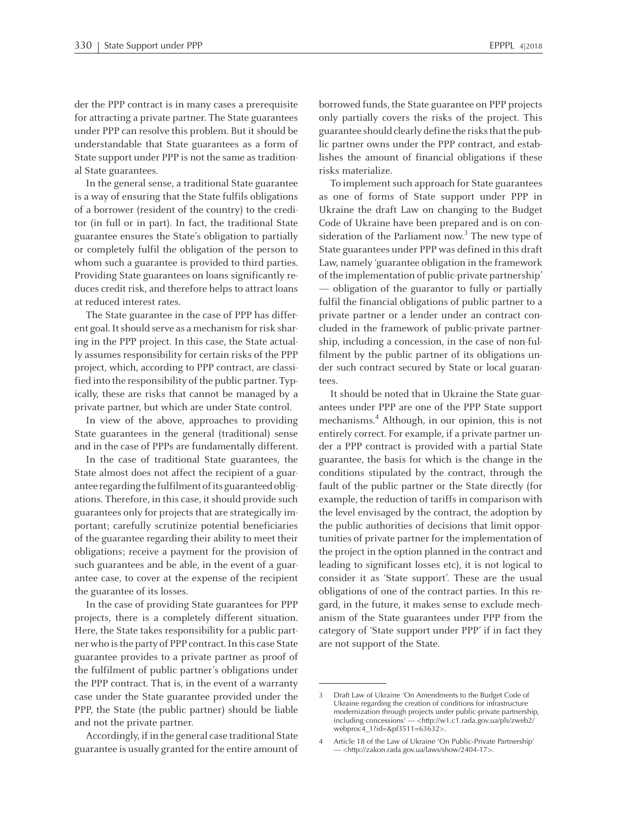der the PPP contract is in many cases <sup>a</sup> prerequisite for attracting <sup>a</sup> private partner. The State guarantees under PPP can resolve this problem. But it should be understandable that State guarantees as <sup>a</sup> form of State support under PPP is not the same as traditional State guarantees.

In the general sense, <sup>a</sup> traditional State guarantee is <sup>a</sup> way of ensuring that the State fulfils obligations of <sup>a</sup> borrower (resident of the country) to the creditor (in full or in part). In fact, the traditional State guarantee ensures the State's obligation to partially or completely fulfil the obligation of the person to whom such <sup>a</sup> guarantee is provided to third parties. Providing State guarantees on loans significantly reduces credit risk, and therefore helps to attract loans at reduced interest rates.

The State guarantee in the case of PPP has different goal. It should serve as a mechanism for risk sharing in the PPP project. In this case, the State actually assumes responsibility for certain risks of the PPP project, which, according to PPP contract, are classified into the responsibility of the public partner. Typically, these are risks that cannot be managed by <sup>a</sup> private partner, but which are under State control.

In view of the above, approaches to providing State guarantees in the general (traditional) sense and in the case of PPPs are fundamentally different.

In the case of traditional State guarantees, the State almost does not affect the recipient of <sup>a</sup> guarantee regarding the fulfilment of its guaranteed obligations. Therefore, in this case, it should provide such guarantees only for projects that are strategically important; carefully scrutinize potential beneficiaries of the guarantee regarding their ability to meet their obligations; receive <sup>a</sup> paymen<sup>t</sup> for the provision of such guarantees and be able, in the event of <sup>a</sup> guarantee case, to cover at the expense of the recipient the guarantee of its losses.

In the case of providing State guarantees for PPP projects, there is <sup>a</sup> completely different situation. Here, the State takes responsibility for <sup>a</sup> public partner who isthe party of PPP contract.In this case State guarantee provides to <sup>a</sup> private partner as proof of the fulfilment of public partner's obligations under the PPP contract. That is, in the event of <sup>a</sup> warranty case under the State guarantee provided under the PPP, the State (the public partner) should be liable and not the private partner.

Accordingly, if in the general case traditional State guarantee is usually granted forthe entire amount of borrowed funds, the State guarantee on PPP projects only partially covers the risks of the project. This guarantee should clearly define the risks that the public partner owns under the PPP contract, and establishes the amount of financial obligations if these risks materialize.

To implement such approach for State guarantees as one of forms of State suppor<sup>t</sup> under PPP in Ukraine the draft Law on changing to the Budget Code of Ukraine have been prepared and is on consideration of the Parliament now. 3 The new type of State guarantees under PPP was defined in this draft Law, namely 'guarantee obligation in the framework of the implementation of public-private partnership' — obligation of the guarantor to fully or partially fulfil the financial obligations of public partner to <sup>a</sup> private partner or <sup>a</sup> lender under an contract concluded in the framework of public-private partnership, including <sup>a</sup> concession, in the case of non-fulfilment by the public partner of its obligations under such contract secured by State or local guarantees.

It should be noted that in Ukraine the State guarantees under PPP are one of the PPP State suppor<sup>t</sup> mechanisms. 4 Although, in our opinion, this is not entirely correct. For example, if a private partner under <sup>a</sup> PPP contract is provided with <sup>a</sup> partial State guarantee, the basis for which is the change in the conditions stipulated by the contract, through the fault of the public partner or the State directly (for example, the reduction of tariffs in comparison with the level envisaged by the contract, the adoption by the public authorities of decisions that limit opportunities of private partner for the implementation of the project in the option planned in the contract and leading to significant losses etc), it is not logical to consider it as 'State support'. These are the usual obligations of one of the contract parties. In this regard, in the future, it makes sense to exclude mechanism of the State guarantees under PPP from the category of 'State suppor<sup>t</sup> under PPP' if in fact they are not suppor<sup>t</sup> of the State.

<sup>3</sup> Draft Law of Ukraine 'On Amendments to the Budget Code of Ukraine regarding the creation of conditions for infrastructure modernization through projects under public-private partnership, including concessions' — <http://w1.c1.rada.gov.ua/pls/zweb2/ webproc4\_1?id=&pf3511=63632>.

Article 18 of the Law of Ukraine 'On Public-Private Partnership' — <http://zakon.rada.gov.ua/laws/show/2404-17>.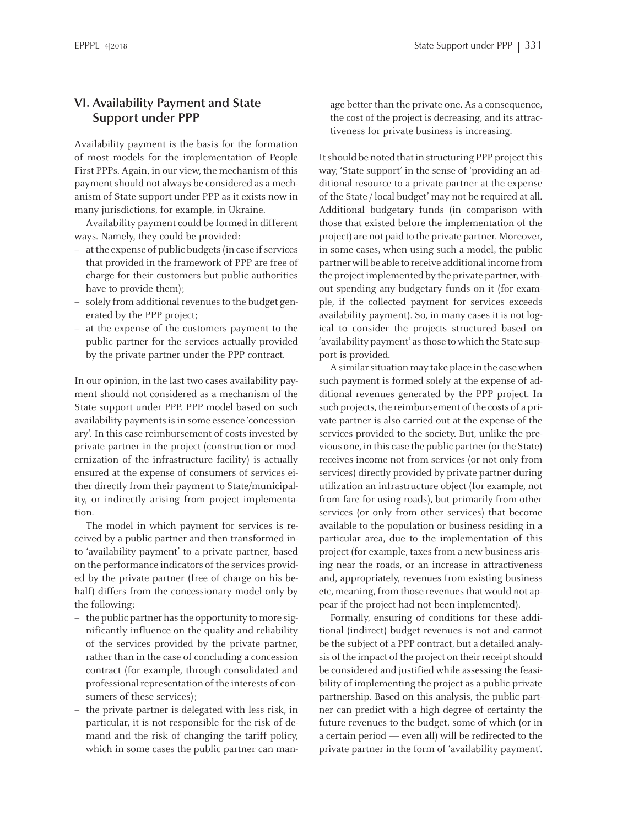#### **VI. Availability Payment and State Support under PPP**

Availability paymen<sup>t</sup> is the basis for the formation of most models for the implementation of People First PPPs. Again, in our view, the mechanism of this payment should not always be considered as a mechanism of State suppor<sup>t</sup> under PPP as it exists now in many jurisdictions, for example, in Ukraine.

Availability paymen<sup>t</sup> could be formed in different ways. Namely, they could be provided:

- at the expense of public budgets (in case if services that provided in the framework of PPP are free of charge for their customers but public authorities have to provide them);
- solely from additional revenues to the budget generated by the PPP project;
- at the expense of the customers paymen<sup>t</sup> to the public partner for the services actually provided by the private partner under the PPP contract.

In our opinion, in the last two cases availability payment should not considered as <sup>a</sup> mechanism of the State suppor<sup>t</sup> under PPP. PPP model based on such availability payments is in some essence 'concessionary'. In this case reimbursement of costs invested by private partner in the project (construction or modernization of the infrastructure facility) is actually ensured at the expense of consumers of services either directly from their paymen<sup>t</sup> to State/municipality, or indirectly arising from project implementation.

The model in which paymen<sup>t</sup> for services is received by <sup>a</sup> public partner and then transformed into 'availability payment' to <sup>a</sup> private partner, based on the performance indicators of the services provided by the private partner (free of charge on his behalf) differs from the concessionary model only by the following:

- the public partner hasthe opportunity tomore significantly influence on the quality and reliability of the services provided by the private partner, rather than in the case of concluding <sup>a</sup> concession contract (for example, through consolidated and professional representation of the interests of consumers of these services);
- the private partner is delegated with less risk, in particular, it is not responsible for the risk of demand and the risk of changing the tariff policy, which in some cases the public partner can man-

age better than the private one. As <sup>a</sup> consequence, the cost of the project is decreasing, and its attractiveness for private business is increasing.

Itshould be noted that in structuring PPP project this way, 'State support' in the sense of 'providing an additional resource to <sup>a</sup> private partner at the expense of the State / local budget'may not be required at all. Additional budgetary funds (in comparison with those that existed before the implementation of the project) are not paid to the private partner. Moreover, in some cases, when using such <sup>a</sup> model, the public partnerwill be able to receive additionalincome from the projectimplemented by the private partner, without spending any budgetary funds on it (for example, if the collected paymen<sup>t</sup> for services exceeds availability payment). So, in many cases it is not logical to consider the projects structured based on 'availability payment' as those to which the State suppor<sup>t</sup> is provided.

A similar situation may take place in the case when such paymen<sup>t</sup> is formed solely at the expense of additional revenues generated by the PPP project. In such projects, the reimbursement of the costs of a private partner is also carried out at the expense of the services provided to the society. But, unlike the previous one, in this case the public partner (or the State) receives income not from services (or not only from services) directly provided by private partner during utilization an infrastructure object (for example, not from fare for using roads), but primarily from other services (or only from other services) that become available to the population or business residing in <sup>a</sup> particular area, due to the implementation of this project (for example, taxes froma new business arising near the roads, or an increase in attractiveness and, appropriately, revenues from existing business etc, meaning, from those revenues that would not appear if the project had not been implemented).

Formally, ensuring of conditions for these additional (indirect) budget revenues is not and cannot be the subject of <sup>a</sup> PPP contract, but <sup>a</sup> detailed analysis of the impact of the project on their receipt should be considered and justified while assessing the feasibility of implementing the project as <sup>a</sup> public-private partnership. Based on this analysis, the public partner can predict with <sup>a</sup> high degree of certainty the future revenues to the budget, some of which (or in <sup>a</sup> certain period — even all) will be redirected to the private partner in the form of 'availability payment'.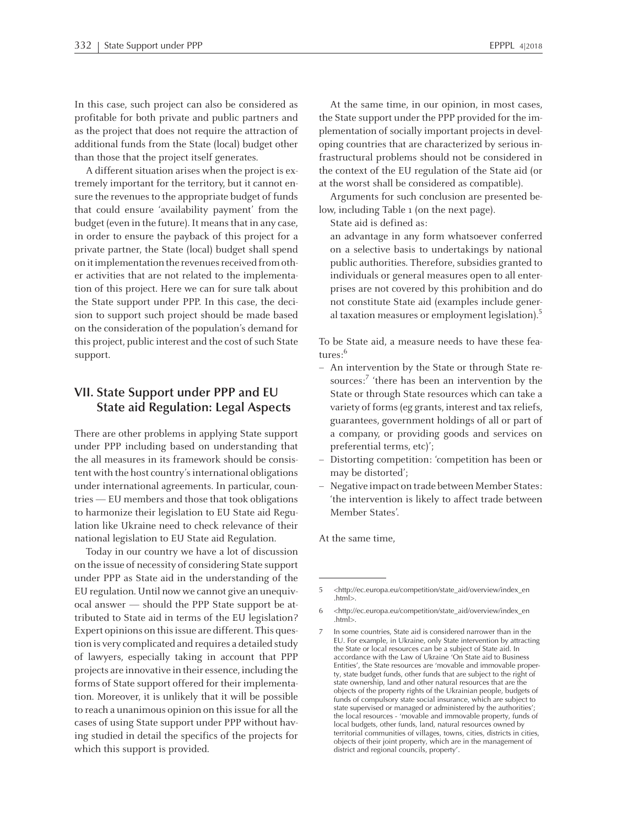In this case, such project can also be considered as profitable for both private and public partners and as the project that does not require the attraction of additional funds from the State (local) budget other than those that the project itself generates.

<sup>A</sup> different situation arises when the project is extremely important for the territory, but it cannot ensure the revenues to the appropriate budget of funds that could ensure 'availability payment' from the budget (even in the future). It means that in any case, in order to ensure the payback of this project for <sup>a</sup> private partner, the State (local) budget shall spend on it implementation the revenues received from other activities that are not related to the implementation of this project. Here we can for sure talk about the State suppor<sup>t</sup> under PPP. In this case, the decision to suppor<sup>t</sup> such project should be made based on the consideration of the population's demand for this project, public interest and the cost of such State support.

#### **VII. State Support under PPP and EU State aid Regulation: Legal Aspects**

There are other problems in applying State suppor<sup>t</sup> under PPP including based on understanding that the all measures in its framework should be consistent with the host country's international obligations under international agreements. In particular, countries —EUmembers and those that took obligations to harmonize their legislation to EU State aid Regulation like Ukraine need to check relevance of their national legislation to EU State aid Regulation.

Today in our country we have <sup>a</sup> lot of discussion on the issue of necessity of considering State suppor<sup>t</sup> under PPP as State aid in the understanding of the EU regulation. Until now we cannot give an unequivocal answer — should the PPP State suppor<sup>t</sup> be attributed to State aid in terms of the EU legislation? Expert opinions on this issue are different. This question is very complicated and requires <sup>a</sup> detailed study of lawyers, especially taking in account that PPP projects are innovative in their essence, including the forms of State suppor<sup>t</sup> offered for their implementation. Moreover, it is unlikely that it will be possible to reach <sup>a</sup> unanimous opinion on thisissue for all the cases of using State suppor<sup>t</sup> under PPP without having studied in detail the specifics of the projects for which this suppor<sup>t</sup> is provided.

At the same time, in our opinion, in most cases, the State suppor<sup>t</sup> under the PPP provided for the implementation of socially important projects in developing countries that are characterized by serious infrastructural problems should not be considered in the context of the EU regulation of the State aid (or at the worst shall be considered as compatible).

Arguments for such conclusion are presented below, including Table <sup>1</sup> (on the next page).

State aid is defined as:

an advantage in any form whatsoever conferred on <sup>a</sup> selective basis to undertakings by national public authorities. Therefore, subsidies granted to individuals or general measures open to all enterprises are not covered by this prohibition and do not constitute State aid (examples include general taxation measures or employment legislation). $^5$ 

To be State aid, <sup>a</sup> measure needs to have these features: 6

- An intervention by the State or through State resources:<sup>7</sup> 'there has been an intervention by the State or through State resources which can take <sup>a</sup> variety of forms (eg grants, interest and tax reliefs, guarantees, governmen<sup>t</sup> holdings of all or par<sup>t</sup> of <sup>a</sup> company, or providing goods and services on preferential terms, etc)';
- Distorting competition: 'competition has been or may be distorted';
- Negative impact on trade between Member States: 'the intervention is likely to affect trade between Member States'.

At the same time,

<sup>5</sup> <http://ec.europa.eu/competition/state\_aid/overview/index\_en .html>.

<sup>6</sup> <http://ec.europa.eu/competition/state\_aid/overview/index\_en .html>.

In some countries, State aid is considered narrower than in the EU. For example, in Ukraine, only State intervention by attracting the State or local resources can be <sup>a</sup> subject of State aid. In accordance with the Law of Ukraine 'On State aid to Business Entities', the State resources are 'movable and immovable property, state budget funds, other funds that are subject to the right of state ownership, land and other natural resources that are the objects of the property rights of the Ukrainian people, budgets of funds of compulsory state social insurance, which are subject to state supervised or managed or administered by the authorities'; the local resources - 'movable and immovable property, funds of local budgets, other funds, land, natural resources owned by territorial communities of villages, towns, cities, districts in cities, objects of their joint property, which are in the managemen<sup>t</sup> of district and regional councils, property'.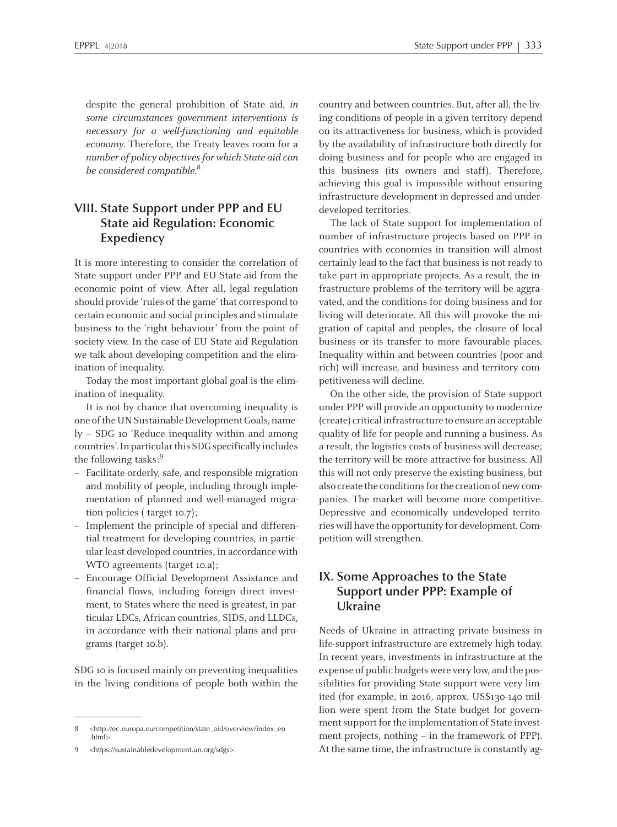despite the general prohibition of State aid, in some circumstances governmen<sup>t</sup> interventions is necessary for <sup>a</sup> well-functioning and equitable economy. Therefore, the Treaty leaves room for <sup>a</sup> number of policy objectives for which State aid can be considered compatible.<sup>8</sup>

### **VIII. State Support under PPP and EU State aid Regulation: Economic Expediency**

It is more interesting to consider the correlation of State suppor<sup>t</sup> under PPP and EU State aid from the economic point of view. After all, legal regulation should provide 'rules of the game' that correspond to certain economic and social principles and stimulate business to the 'right behaviour' from the point of society view. In the case of EU State aid Regulation we talk about developing competition and the elimination of inequality.

Today the most important global goal is the elimination of inequality.

It is not by chance that overcoming inequality is one of the UN Sustainable Development Goals, namely – SDG <sup>10</sup> 'Reduce inequality within and among countries'. In particular this SDG specifically includes the following tasks: 9

- Facilitate orderly, safe, and responsible migration and mobility of people, including through implementation of planned and well-managed migration policies ( target 10.7);
- Implement the principle of special and differential treatment for developing countries, in particular least developed countries, in accordance with WTO agreements (target 10.a);
- Encourage Official Development Assistance and financial flows, including foreign direct investment, to States where the need is greatest, in particular LDCs, African countries, SIDS, and LLDCs, in accordance with their national plans and programs (target 10.b).

SDG <sup>10</sup> is focused mainly on preventing inequalities in the living conditions of people both within the country and between countries. But, after all, the living conditions of people in <sup>a</sup> given territory depend on its attractiveness for business, which is provided by the availability of infrastructure both directly for doing business and for people who are engaged in this business (its owners and staff). Therefore, achieving this goal is impossible without ensuring infrastructure development in depressed and underdeveloped territories.

The lack of State suppor<sup>t</sup> for implementation of number of infrastructure projects based on PPP in countries with economies in transition will almost certainly lead to the fact that business is not ready to take par<sup>t</sup> in appropriate projects. As <sup>a</sup> result, the infrastructure problems of the territory will be aggravated, and the conditions for doing business and for living will deteriorate. All this will provoke the migration of capital and peoples, the closure of local business or its transfer to more favourable places. Inequality within and between countries (poor and rich) will increase, and business and territory competitiveness will decline.

On the other side, the provision of State suppor<sup>t</sup> under PPP will provide an opportunity to modernize (create) criticalinfrastructure to ensure anacceptable quality of life for people and running <sup>a</sup> business. As <sup>a</sup> result, the logistics costs of business will decrease; the territory will be more attractive for business. All this will not only preserve the existing business, but also create the conditions for the creation of new companies. The market will become more competitive. Depressive and economically undeveloped territories will have the opportunity for development. Competition will strengthen.

#### **IX. Some Approaches to the State Support under PPP: Example of Ukraine**

Needs of Ukraine in attracting private business in life-support infrastructure are extremely high today. In recent years, investments in infrastructure at the expense of public budgets were very low, and the possibilities for providing State suppor<sup>t</sup> were very limited (for example, in 2016, approx. US\$130-140 million were spen<sup>t</sup> from the State budget for government support for the implementation of State investment projects, nothing – in the framework of PPP). At the same time, the infrastructure is constantly ag-

<sup>8</sup> <http://ec.europa.eu/competition/state\_aid/overview/index\_en .html>.

<sup>9</sup> <https://sustainabledevelopment.un.org/sdgs>.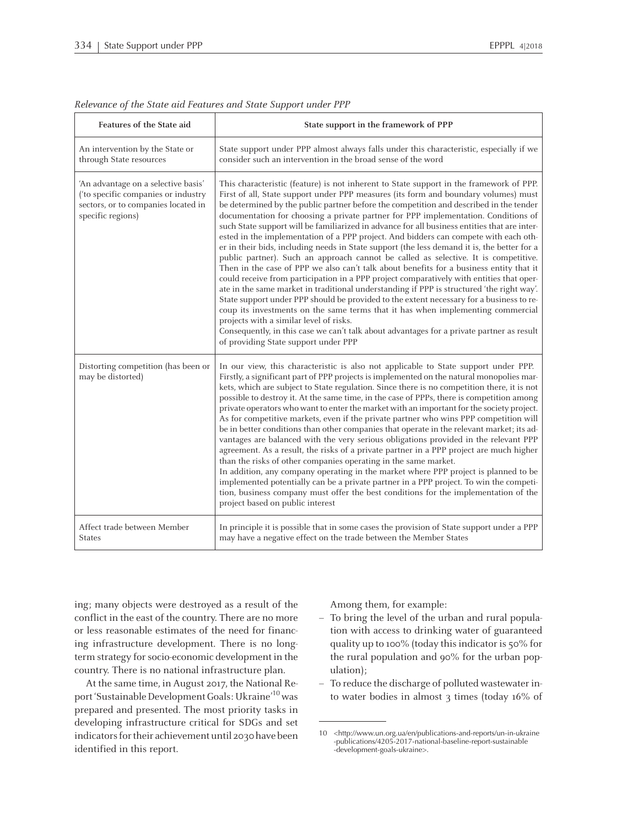| Features of the State aid                                                                                                              | State support in the framework of PPP                                                                                                                                                                                                                                                                                                                                                                                                                                                                                                                                                                                                                                                                                                                                                                                                                                                                                                                                                                                                                                                                                                                                                                                                                                                                                                                                                           |  |  |  |  |
|----------------------------------------------------------------------------------------------------------------------------------------|-------------------------------------------------------------------------------------------------------------------------------------------------------------------------------------------------------------------------------------------------------------------------------------------------------------------------------------------------------------------------------------------------------------------------------------------------------------------------------------------------------------------------------------------------------------------------------------------------------------------------------------------------------------------------------------------------------------------------------------------------------------------------------------------------------------------------------------------------------------------------------------------------------------------------------------------------------------------------------------------------------------------------------------------------------------------------------------------------------------------------------------------------------------------------------------------------------------------------------------------------------------------------------------------------------------------------------------------------------------------------------------------------|--|--|--|--|
| An intervention by the State or<br>through State resources                                                                             | State support under PPP almost always falls under this characteristic, especially if we<br>consider such an intervention in the broad sense of the word                                                                                                                                                                                                                                                                                                                                                                                                                                                                                                                                                                                                                                                                                                                                                                                                                                                                                                                                                                                                                                                                                                                                                                                                                                         |  |  |  |  |
| 'An advantage on a selective basis'<br>('to specific companies or industry<br>sectors, or to companies located in<br>specific regions) | This characteristic (feature) is not inherent to State support in the framework of PPP.<br>First of all, State support under PPP measures (its form and boundary volumes) must<br>be determined by the public partner before the competition and described in the tender<br>documentation for choosing a private partner for PPP implementation. Conditions of<br>such State support will be familiarized in advance for all business entities that are inter-<br>ested in the implementation of a PPP project. And bidders can compete with each oth-<br>er in their bids, including needs in State support (the less demand it is, the better for a<br>public partner). Such an approach cannot be called as selective. It is competitive.<br>Then in the case of PPP we also can't talk about benefits for a business entity that it<br>could receive from participation in a PPP project comparatively with entities that oper-<br>ate in the same market in traditional understanding if PPP is structured 'the right way'.<br>State support under PPP should be provided to the extent necessary for a business to re-<br>coup its investments on the same terms that it has when implementing commercial<br>projects with a similar level of risks.<br>Consequently, in this case we can't talk about advantages for a private partner as result<br>of providing State support under PPP |  |  |  |  |
| Distorting competition (has been or<br>may be distorted)                                                                               | In our view, this characteristic is also not applicable to State support under PPP.<br>Firstly, a significant part of PPP projects is implemented on the natural monopolies mar-<br>kets, which are subject to State regulation. Since there is no competition there, it is not<br>possible to destroy it. At the same time, in the case of PPPs, there is competition among<br>private operators who want to enter the market with an important for the society project.<br>As for competitive markets, even if the private partner who wins PPP competition will<br>be in better conditions than other companies that operate in the relevant market; its ad-<br>vantages are balanced with the very serious obligations provided in the relevant PPP<br>agreement. As a result, the risks of a private partner in a PPP project are much higher<br>than the risks of other companies operating in the same market.<br>In addition, any company operating in the market where PPP project is planned to be<br>implemented potentially can be a private partner in a PPP project. To win the competi-<br>tion, business company must offer the best conditions for the implementation of the<br>project based on public interest                                                                                                                                                               |  |  |  |  |
| Affect trade between Member<br><b>States</b>                                                                                           | In principle it is possible that in some cases the provision of State support under a PPP<br>may have a negative effect on the trade between the Member States                                                                                                                                                                                                                                                                                                                                                                                                                                                                                                                                                                                                                                                                                                                                                                                                                                                                                                                                                                                                                                                                                                                                                                                                                                  |  |  |  |  |

| Relevance of the State aid Features and State Support under PPP |  |  |  |  |
|-----------------------------------------------------------------|--|--|--|--|
|                                                                 |  |  |  |  |

ing; many objects were destroyed as <sup>a</sup> result of the conflict in the east of the country. There are no more or less reasonable estimates of the need for financing infrastructure development. There is no longtermstrategy forsocio-economic development in the country. There is no national infrastructure plan.

At the same time, in August 2017, the National Report 'Sustainable Development Goals: Ukraine'<sup>10</sup> was prepared and presented. The most priority tasks in developing infrastructure critical for SDGs and set indicators for their achievement until 2030 have been identified in this report.

Among them, for example:

- – To bring the level of the urban and rural population with access to drinking water of guaranteed quality up to 100% (today this indicator is 50% for the rural population and 90% for the urban population);
- To reduce the discharge of polluted wastewaterinto water bodies in almost 3 times (today 16% of

<sup>10</sup> <http://www.un.org.ua/en/publications-and-reports/un-in-ukraine -publications/4205-2017-national-baseline-report-sustainable -development-goals-ukraine>.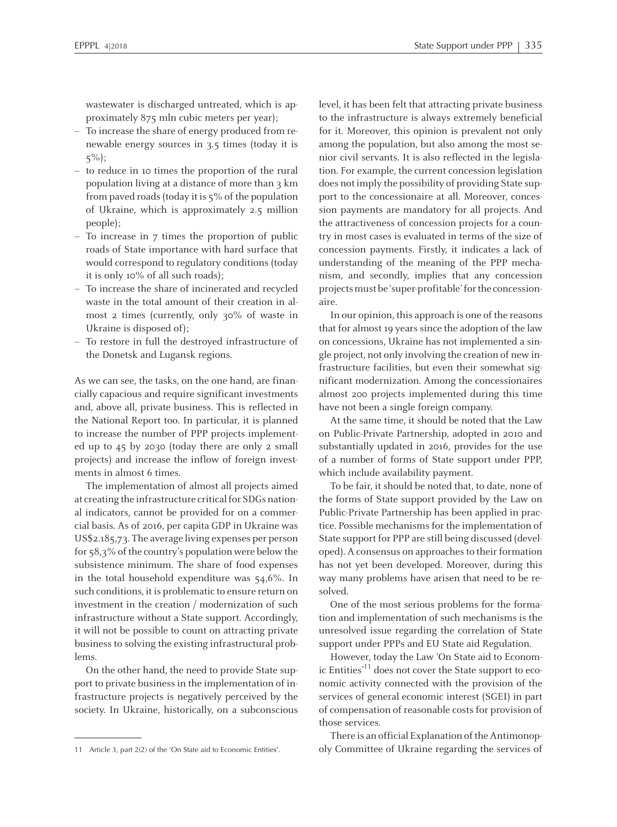wastewater is discharged untreated, which is approximately 875 mln cubic meters per year);

- To increase the share of energy produced from renewable energy sources in 3.5 times (today it is 5%);
- to reduce in <sup>10</sup> times the proportion of the rural population living at <sup>a</sup> distance of more than <sup>3</sup> km frompaved roads(today it is 5% of the population of Ukraine, which is approximately 2.5 million people);
- To increase in 7 times the proportion of public roads of State importance with hard surface that would correspond to regulatory conditions (today it is only 10% of all such roads);
- To increase the share of incinerated and recycled waste in the total amount of their creation in almost <sup>2</sup> times (currently, only 30% of waste in Ukraine is disposed of);
- To restore in full the destroyed infrastructure of the Donetsk and Lugansk regions.

As we can see, the tasks, on the one hand, are financially capacious and require significant investments and, above all, private business. This is reflected in the National Report too. In particular, it is planned to increase the number of PPP projects implemented up to 45 by 2030 (today there are only <sup>2</sup> small projects) and increase the inflow of foreign investments in almost 6 times.

The implementation of almost all projects aimed at creating the infrastructure critical for SDGs national indicators, cannot be provided for on <sup>a</sup> commercial basis. As of 2016, per capita GDP in Ukraine was US\$2.185,73. The average living expenses per person for  $58.3\%$  of the country's population were below the subsistence minimum. The share of food expenses in the total household expenditure was 54,6%. In such conditions, it is problematic to ensure return on investment in the creation / modernization of such infrastructure without <sup>a</sup> State support. Accordingly, it will not be possible to count on attracting private business to solving the existing infrastructural problems.

On the other hand, the need to provide State suppor<sup>t</sup> to private business in the implementation of infrastructure projects is negatively perceived by the society. In Ukraine, historically, on <sup>a</sup> subconscious level, it has been felt that attracting private business to the infrastructure is always extremely beneficial for it. Moreover, this opinion is prevalent not only among the population, but also among the most senior civil servants. It is also reflected in the legislation. For example, the current concession legislation does not imply the possibility of providing State suppor<sup>t</sup> to the concessionaire at all. Moreover, concession payments are mandatory for all projects. And the attractiveness of concession projects for <sup>a</sup> country in most cases is evaluated in terms of the size of concession payments. Firstly, it indicates <sup>a</sup> lack of understanding of the meaning of the PPP mechanism, and secondly, implies that any concession projectsmustbe 'super-profitable'forthe concessionaire.

In our opinion, this approach is one of the reasons that for almost 19 years since the adoption of the law on concessions, Ukraine has not implemented <sup>a</sup> single project, not only involving the creation of new infrastructure facilities, but even their somewhat significant modernization. Among the concessionaires almost <sup>200</sup> projects implemented during this time have not been <sup>a</sup> single foreign company.

At the same time, it should be noted that the Law on Public-Private Partnership, adopted in <sup>2010</sup> and substantially updated in 2016, provides for the use of <sup>a</sup> number of forms of State suppor<sup>t</sup> under PPP, which include availability payment.

To be fair, it should be noted that, to date, none of the forms of State suppor<sup>t</sup> provided by the Law on Public-Private Partnership has been applied in practice. Possible mechanisms for the implementation of State suppor<sup>t</sup> for PPP are still being discussed (developed). A consensus on approaches to their formation has not ye<sup>t</sup> been developed. Moreover, during this way many problems have arisen that need to be resolved.

One of the most serious problems for the formation and implementation of such mechanisms is the unresolved issue regarding the correlation of State suppor<sup>t</sup> under PPPs and EU State aid Regulation.

However, today the Law 'On State aid to Economic Entities' 11 does not cover the State suppor<sup>t</sup> to economic activity connected with the provision of the services of general economic interest (SGEI) in par<sup>t</sup> of compensation of reasonable costs for provision of those services.

There is an official Explanation of the Antimonop-<sup>11</sup> Article 3, par<sup>t</sup> 2(2) of the 'On State aid to Economic Entities'. oly Committee of Ukraine regarding the services of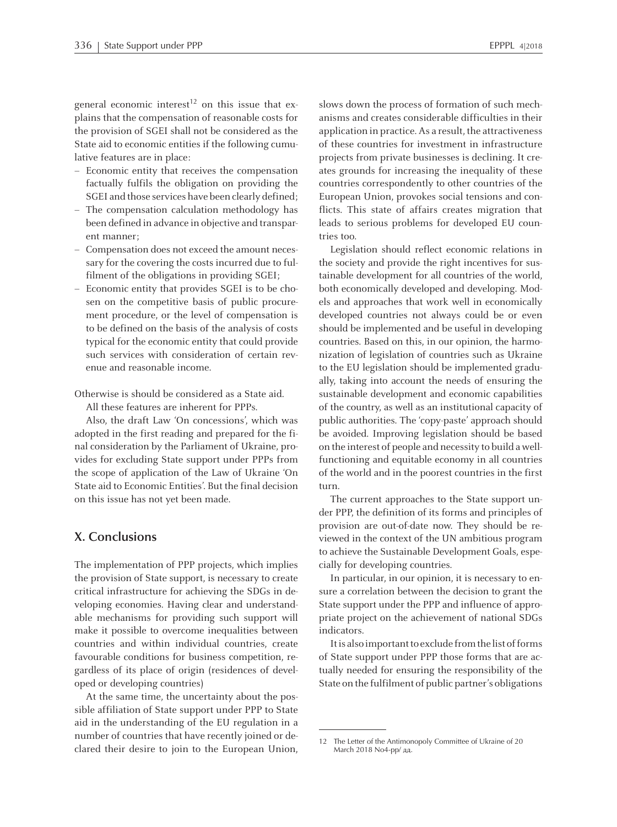general economic interest<sup>12</sup> on this issue that explains that the compensation of reasonable costs for the provision of SGEI shall not be considered as the State aid to economic entities if the following cumulative features are in place:

- Economic entity that receives the compensation factually fulfils the obligation on providing the SGEI and those services have been clearly defined;
- The compensation calculation methodology has been defined in advance in objective and transparent manner;
- Compensation does not exceed the amount necessary for the covering the costs incurred due to fulfilment of the obligations in providing SGEI;
- Economic entity that provides SGEI is to be chosen on the competitive basis of public procurement procedure, or the level of compensation is to be defined on the basis of the analysis of costs typical for the economic entity that could provide such services with consideration of certain revenue and reasonable income.

Otherwise is should be considered as <sup>a</sup> State aid.

All these features are inherent for PPPs.

Also, the draft Law 'On concessions', which was adopted in the first reading and prepared for the final consideration by the Parliament of Ukraine, provides for excluding State suppor<sup>t</sup> under PPPs from the scope of application of the Law of Ukraine 'On State aid to Economic Entities'. But the final decision on this issue has not ye<sup>t</sup> been made.

#### **X. Conclusions**

The implementation of PPP projects, which implies the provision of State support, is necessary to create critical infrastructure for achieving the SDGs in developing economies. Having clear and understandable mechanisms for providing such suppor<sup>t</sup> will make it possible to overcome inequalities between countries and within individual countries, create favourable conditions for business competition, regardless of its place of origin (residences of developed or developing countries)

At the same time, the uncertainty about the possible affiliation of State suppor<sup>t</sup> under PPP to State aid in the understanding of the EU regulation in <sup>a</sup> number of countries that have recently joined or declared their desire to join to the European Union, slows down the process of formation of such mechanisms and creates considerable difficulties in their application in practice.As <sup>a</sup> result, the attractiveness of these countries for investment in infrastructure projects from private businesses is declining. It creates grounds for increasing the inequality of these countries correspondently to other countries of the European Union, provokes social tensions and conflicts. This state of affairs creates migration that leads to serious problems for developed EU countries too.

Legislation should reflect economic relations in the society and provide the right incentives for sustainable development for all countries of the world, both economically developed and developing. Models and approaches that work well in economically developed countries not always could be or even should be implemented and be useful in developing countries. Based on this, in our opinion, the harmonization of legislation of countries such as Ukraine to the EU legislation should be implemented gradually, taking into account the needs of ensuring the sustainable development and economic capabilities of the country, as well as an institutional capacity of public authorities. The 'copy-paste' approach should be avoided. Improving legislation should be based on the interest of people and necessity to build <sup>a</sup> wellfunctioning and equitable economy in all countries of the world and in the poores<sup>t</sup> countries in the first turn.

The current approaches to the State suppor<sup>t</sup> under PPP, the definition of its forms and principles of provision are out-of-date now. They should be reviewed in the context of the UN ambitious program to achieve the Sustainable Development Goals, especially for developing countries.

In particular, in our opinion, it is necessary to ensure <sup>a</sup> correlation between the decision to gran<sup>t</sup> the State suppor<sup>t</sup> under the PPP and influence of appropriate project on the achievement of national SDGs indicators.

It is also important to exclude from the list of forms of State suppor<sup>t</sup> under PPP those forms that are actually needed for ensuring the responsibility of the State on the fulfilment of public partner's obligations

<sup>12</sup> The Letter of the Antimonopoly Committee of Ukraine of <sup>20</sup> March <sup>2018</sup> No4-pp/ дд.